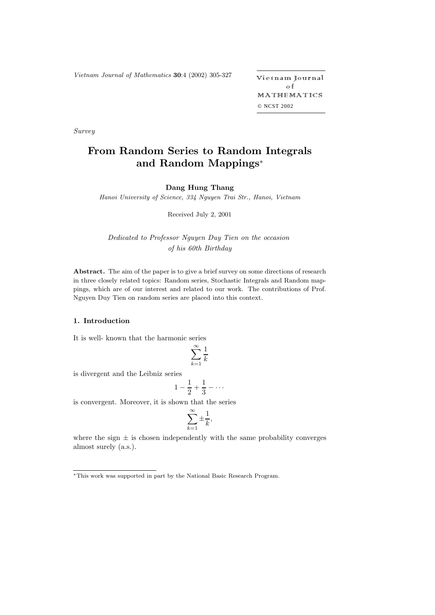Vietnam Journal of Mathematics **<sup>30</sup>**:4 (2002) 305-327 -

etnam Journal o f MATHEMATICS © NCST 2002

*Survey*

# **From Random Series to Random Integrals and Random Mappings**\*

## **Dang Hung Thang**

Hanoi University of Science, 334 Nguyen Trai Str., Hanoi, Vietnam

Received July 2, 2001

*Dedicated to Professor Nguyen Duy Tien on the occasion of his 60th Birthday*

**Abstract.** The aim of the paper is to give a brief survey on some directions of research in three closely related topics: Random series, Stochastic Integrals and Random mappings, which are of our interest and related to our work. The contributions of Prof. Nguyen Duy Tien on random series are placed into this context.

## **1. Introduction**

It is well- known that the harmonic series

$$
\sum_{k=1}^{\infty} \frac{1}{k}
$$

is divergent and the Leibniz series

$$
1-\frac{1}{2}+\frac{1}{3}-\cdots
$$

is convergent. Moreover, it is shown that the series

$$
\sum_{k=1}^{\infty} \pm \frac{1}{k},
$$

where the sign  $\pm$  is chosen independently with the same probability converges almost surely (a.s.).

<sup>∗</sup>This work was supported in part by the National Basic Research Program.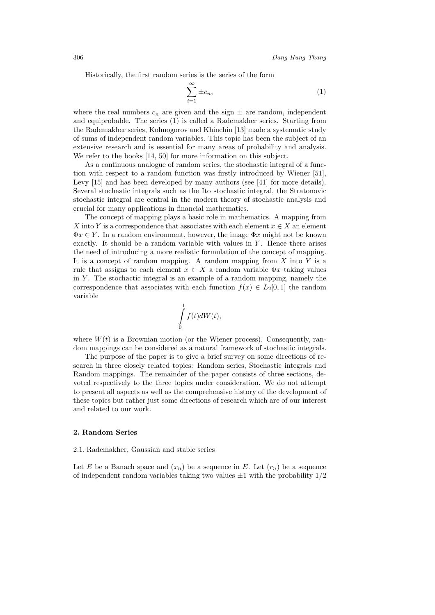Historically, the first random series is the series of the form

$$
\sum_{i=1}^{\infty} \pm c_n,\tag{1}
$$

where the real numbers  $c_n$  are given and the sign  $\pm$  are random, independent and equiprobable. The series (1) is called a Rademakher series. Starting from the Rademakher series, Kolmogorov and Khinchin [13] made a systematic study of sums of independent random variables. This topic has been the subject of an extensive research and is essential for many areas of probability and analysis. We refer to the books  $[14, 50]$  for more information on this subject.

As a continuous analogue of random series, the stochastic integral of a function with respect to a random function was firstly introduced by Wiener [51], Levy [15] and has been developed by many authors (see [41] for more details). Several stochastic integrals such as the Ito stochastic integral, the Stratonovic stochastic integral are central in the modern theory of stochastic analysis and crucial for many applications in financial mathematics.

The concept of mapping plays a basic role in mathematics. A mapping from X into Y is a correspondence that associates with each element  $x \in X$  an element  $\Phi x \in Y$ . In a random environment, however, the image  $\Phi x$  might not be known exactly. It should be a random variable with values in  $Y$ . Hence there arises the need of introducing a more realistic formulation of the concept of mapping. It is a concept of random mapping. A random mapping from  $X$  into  $Y$  is a rule that assigns to each element  $x \in X$  a random variable  $\Phi x$  taking values in  $Y$ . The stochactic integral is an example of a random mapping, namely the correspondence that associates with each function  $f(x) \in L_2[0,1]$  the random variable

$$
\int\limits_0^1 f(t)dW(t),
$$

where  $W(t)$  is a Brownian motion (or the Wiener process). Consequently, random mappings can be considered as a natural framework of stochastic integrals.

The purpose of the paper is to give a brief survey on some directions of research in three closely related topics: Random series, Stochastic integrals and Random mappings. The remainder of the paper consists of three sections, devoted respectively to the three topics under consideration. We do not attempt to present all aspects as well as the comprehensive history of the development of these topics but rather just some directions of research which are of our interest and related to our work.

### **2. Random Series**

## 2.1. Rademakher, Gaussian and stable series

Let E be a Banach space and  $(x_n)$  be a sequence in E. Let  $(r_n)$  be a sequence of independent random variables taking two values  $\pm 1$  with the probability  $1/2$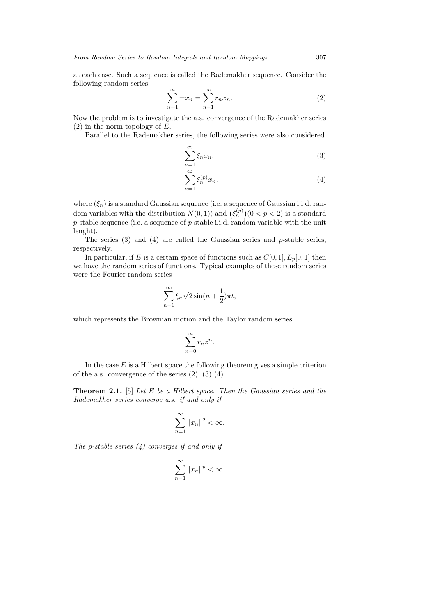at each case. Such a sequence is called the Rademakher sequence. Consider the following random series

$$
\sum_{n=1}^{\infty} \pm x_n = \sum_{n=1}^{\infty} r_n x_n.
$$
 (2)

Now the problem is to investigate the a.s. convergence of the Rademakher series  $(2)$  in the norm topology of E.

Parallel to the Rademakher series, the following series were also considered

$$
\sum_{n=1}^{\infty} \xi_n x_n,\tag{3}
$$

$$
\sum_{n=1}^{\infty} \xi_n^{(p)} x_n,\tag{4}
$$

where  $(\xi_n)$  is a standard Gaussian sequence (i.e. a sequence of Gaussian i.i.d. random variables with the distribution  $N(0, 1)$  and  $(\xi_n^{(p)})(0 < p < 2)$  is a standard p-stable sequence (i.e. a sequence of p-stable i.i.d. random variable with the unit lenght).

The series  $(3)$  and  $(4)$  are called the Gaussian series and p-stable series, respectively.

In particular, if E is a certain space of functions such as  $C[0, 1], L_p[0, 1]$  then we have the random series of functions. Typical examples of these random series were the Fourier random series

$$
\sum_{n=1}^{\infty} \xi_n \sqrt{2} \sin\left(n + \frac{1}{2}\right) \pi t,
$$

which represents the Brownian motion and the Taylor random series

$$
\sum_{n=0}^{\infty} r_n z^n.
$$

In the case  $E$  is a Hilbert space the following theorem gives a simple criterion of the a.s. convergence of the series  $(2)$ ,  $(3)$   $(4)$ .

**Theorem 2.1.** [5] *Let* E *be a Hilbert space. Then the Gaussian series and the Rademakher series converge a.s. if and only if*

$$
\sum_{n=1}^{\infty} \|x_n\|^2 < \infty.
$$

*The* p*-stable series (4) converges if and only if*

$$
\sum_{n=1}^{\infty} \|x_n\|^p < \infty.
$$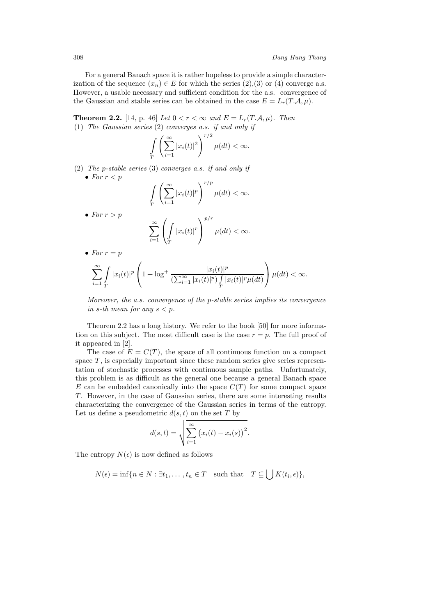For a general Banach space it is rather hopeless to provide a simple characterization of the sequence  $(x_n) \in E$  for which the series  $(2),(3)$  or  $(4)$  converge a.s. However, a usable necessary and sufficient condition for the a.s. convergence of the Gaussian and stable series can be obtained in the case  $E = L_r(T.A, \mu)$ .

**Theorem 2.2.** [14, p. 46] *Let*  $0 < r < \infty$  *and*  $E = L_r(T.A, \mu)$ *. Then* (1) *The Gaussian series* (2) *converges a.s. if and only if*

$$
\int\limits_T\left(\sum\limits_{i=1}^\infty |x_i(t)|^2\right)^{r/2}\mu(dt)<\infty.
$$

(2) *The* p*-stable series* (3) *converges a.s. if and only if* • For  $r < p$ 

$$
\int\limits_T \left(\sum\limits_{i=1}^\infty |x_i(t)|^p\right)^{r/p} \mu(dt) < \infty.
$$

• *For*  $r > p$ 

$$
\sum_{i=1}^{\infty} \left( \int\limits_T |x_i(t)|^r \right)^{p/r} \mu(dt) < \infty.
$$

• For  $r = p$ 

$$
\sum_{i=1}^{\infty} \int_{T} |x_i(t)|^p \left(1 + \log^+ \frac{|x_i(t)|^p}{\left(\sum_{i=1}^{\infty} |x_i(t)|^p\right) \int_{T} |x_i(t)|^p \mu(dt)}\right) \mu(dt) < \infty.
$$

*Moreover, the a.s. convergence of the* p*-stable series implies its convergence in* s-th mean for any  $s < p$ .

Theorem 2.2 has a long history. We refer to the book [50] for more information on this subject. The most difficult case is the case  $r = p$ . The full proof of it appeared in [2].

The case of  $E = C(T)$ , the space of all continuous function on a compact space  $T$ , is especially important since these random series give series representation of stochastic processes with continuous sample paths. Unfortunately, this problem is as difficult as the general one because a general Banach space  $E$  can be embedded canonically into the space  $C(T)$  for some compact space  $T$ . However, in the case of Gaussian series, there are some interesting results characterizing the convergence of the Gaussian series in terms of the entropy. Let us define a pseudometric  $d(s, t)$  on the set T by

$$
d(s,t) = \sqrt{\sum_{i=1}^{\infty} (x_i(t) - x_i(s))^2}.
$$

The entropy  $N(\epsilon)$  is now defined as follows

$$
N(\epsilon) = \inf \{ n \in N : \exists t_1, \dots, t_n \in T \text{ such that } T \subseteq \bigcup K(t_i, \epsilon) \},
$$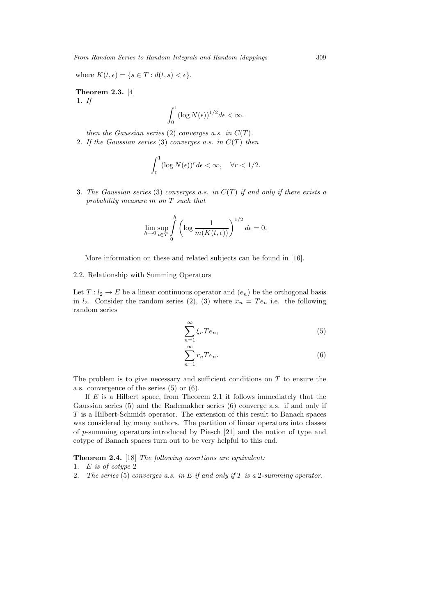where  $K(t, \epsilon) = \{s \in T : d(t, s) < \epsilon\}.$ 

**Theorem 2.3.** [4] 1. *If*

$$
\int_0^1 (\log N(\epsilon))^{1/2} d\epsilon < \infty.
$$

*then the Gaussian series* (2) *converges a.s. in*  $C(T)$ *.* 

2. If the Gaussian series (3) converges a.s. in  $C(T)$  then

$$
\int_0^1 (\log N(\epsilon))^r d\epsilon < \infty, \quad \forall r < 1/2.
$$

3. *The Gaussian series* (3) *converges a.s. in* C(T ) *if and only if there exists a probability measure* m *on* T *such that*

$$
\lim_{h \to 0} \sup_{t \in T} \int_{0}^{h} \left( \log \frac{1}{m(K(t, \epsilon))} \right)^{1/2} d\epsilon = 0.
$$

More information on these and related subjects can be found in [16].

## 2.2. Relationship with Summing Operators

Let  $T: l_2 \to E$  be a linear continuous operator and  $(e_n)$  be the orthogonal basis in  $l_2$ . Consider the random series (2), (3) where  $x_n = Te_n$  i.e. the following random series

$$
\sum_{n=1}^{\infty} \xi_n T e_n,\tag{5}
$$

$$
\sum_{n=1}^{\infty} r_n T e_n.
$$
 (6)

The problem is to give necessary and sufficient conditions on  $T$  to ensure the a.s. convergence of the series (5) or (6).

If  $E$  is a Hilbert space, from Theorem 2.1 it follows immediately that the Gaussian series (5) and the Rademakher series (6) converge a.s. if and only if T is a Hilbert-Schmidt operator. The extension of this result to Banach spaces was considered by many authors. The partition of linear operators into classes of p-summing operators introduced by Piesch [21] and the notion of type and cotype of Banach spaces turn out to be very helpful to this end.

**Theorem 2.4.** [18] *The following assertions are equivalent:*

- 1. E *is of cotype* 2
- 2. *The series* (5) *converges a.s. in* E *if and only if* T *is a* 2*-summing operator.*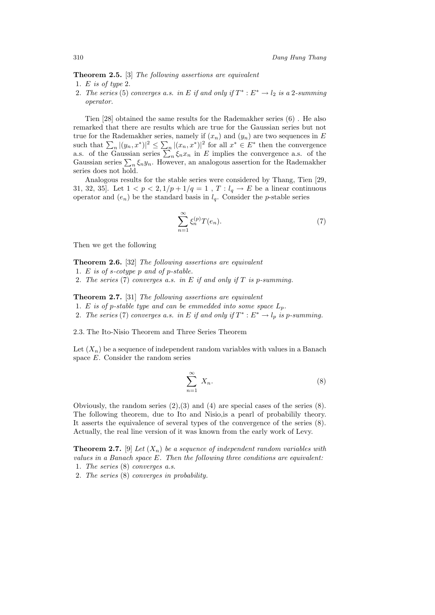**Theorem 2.5.** [3] *The following assertions are equivalent* 1. E *is of type* 2.

2. *The series* (5) *converges a.s. in* E *if and only if*  $T^* : E^* \to l_2$  *is a* 2*-summing operator.*

Tien [28] obtained the same results for the Rademakher series (6) . He also remarked that there are results which are true for the Gaussian series but not true for the Rademakher series, namely if  $(x_n)$  and  $(y_n)$  are two sequences in E such that  $\sum_{n} |(y_n, x^*)|^2 \leq \sum_{n} |(x_n, x^*)|^2$  for all  $x^* \in E^*$  then the convergence a.s. of the Gaussian series  $\sum_{n} \xi_n x_n$  in E implies the convergence a.s. of the Gaussian series  $\sum_{n} \xi_n y_n$ . However, an analogous assertion for the Rademakher series does not hold.

Analogous results for the stable series were considered by Thang, Tien [29, 31, 32, 35]. Let  $1 < p < 2, 1/p + 1/q = 1$ ,  $T : l_q \to E$  be a linear continuous operator and  $(e_n)$  be the standard basis in  $l_q$ . Consider the *p*-stable series

$$
\sum_{n=1}^{\infty} \xi_n^{(p)} T(e_n). \tag{7}
$$

Then we get the following

**Theorem 2.6.** [32] *The following assertions are equivalent*

- 1. E *is of* s*-cotype* p *and of* p*-stable.*
- 2. *The series* (7) *converges a.s. in* E *if and only if* T *is* p*-summing.*

**Theorem 2.7.** [31] *The following assertions are equivalent*

- 1. E is of p-stable type and can be emmedded into some space  $L_p$ .
- 2. *The series* (7) *converges a.s. in* E *if and only if*  $T^* : E^* \to l_p$  *is p-summing.*

2.3. The Ito-Nisio Theorem and Three Series Theorem

Let  $(X_n)$  be a sequence of independent random variables with values in a Banach space E. Consider the random series

$$
\sum_{n=1}^{\infty} X_n.
$$
 (8)

Obviously, the random series  $(2),(3)$  and  $(4)$  are special cases of the series  $(8)$ . The following theorem, due to Ito and Nisio,is a pearl of probabilily theory. It asserts the equivalence of several types of the convergence of the series (8). Actually, the real line version of it was known from the early work of Levy.

**Theorem 2.7.** [9] *Let*  $(X_n)$  *be a sequence of independent random variables with values in a Banach space* E*. Then the following three conditions are equivalent:* 1. *The series* (8) *converges a.s.*

2. *The series* (8) *converges in probability.*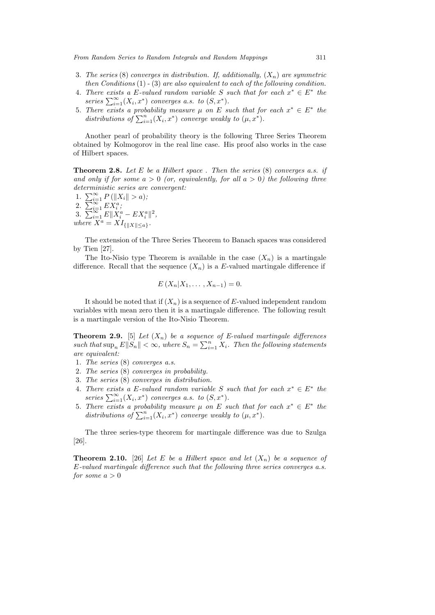- 3. The series (8) converges in distribution. If, additionally,  $(X_n)$  are symmetric *then Conditions* (1) - (3) *are also equivalent to each of the following condition.*
- 4. *There exists a* E-valued random variable S such that for each  $x^* \in E^*$  the series  $\sum_{i=1}^{\infty} (X_i, x^*)$  *converges a.s. to*  $(S, x^*)$ *.*
- 5. There exists a probability measure  $\mu$  on E such that for each  $x^* \in E^*$  the distributions of  $\sum_{i=1}^{n} (X_i, x^*)$  *converge weakly to*  $(\mu, x^*)$ *.*

Another pearl of probability theory is the following Three Series Theorem obtained by Kolmogorov in the real line case. His proof also works in the case of Hilbert spaces.

**Theorem 2.8.** *Let* E *be a Hilbert space . Then the series* (8) *converges a.s. if* and only if for some  $a > 0$  (or, equivalently, for all  $a > 0$ ) the following three *deterministic series are convergent:*

1.  $\sum_{i=1}^{\infty} P\left(\|X_i\| > a\right);$ 2.  $\sum_{i=1}^{\infty} E X_i^a;$ 3.  $\sum_{i=1}^{\infty} E||X_i^a - EX_i^a||^2$ , *where*  $X^a = XI_{\{|X| \leq a\}}$ *.* 

The extension of the Three Series Theorem to Banach spaces was considered by Tien [27].

The Ito-Nisio type Theorem is available in the case  $(X_n)$  is a martingale difference. Recall that the sequence  $(X_n)$  is a E-valued martingale difference if

$$
E(X_n|X_1,\ldots,X_{n-1})=0.
$$

It should be noted that if  $(X_n)$  is a sequence of E-valued independent random variables with mean zero then it is a martingale difference. The following result is a martingale version of the Ito-Nisio Theorem.

**Theorem 2.9.** [5] *Let* (Xn) *be a sequence of E-valued martingale differences*  $\| \textit{such that} \sup_n E \| S_n \| < \infty$ , where  $S_n = \sum_{i=1}^n X_i$ . Then the following statements *are equivalent:*

- 1. *The series* (8) *converges a.s.*
- 2. *The series* (8) *converges in probability.*
- 3. *The series* (8) *converges in distribution.*
- 4. There exists a E-valued random variable S such that for each  $x^* \in E^*$  the series  $\sum_{i=1}^{\infty} (X_i, x^*)$  *converges a.s. to*  $(S, x^*)$ *.*
- 5. There exists a probability measure  $\mu$  on E such that for each  $x^* \in E^*$  the distributions of  $\sum_{i=1}^{n} (X_i, x^*)$  *converge weakly to*  $(\mu, x^*)$ *.*

The three series-type theorem for martingale difference was due to Szulga [26].

**Theorem 2.10.** [26] Let E be a Hilbert space and let  $(X_n)$  be a sequence of E*-valued martingale difference such that the following three series converges a.s. for some*  $a > 0$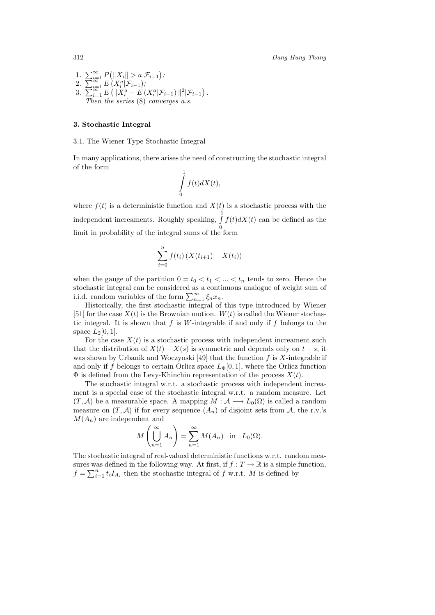1. 
$$
\sum_{i=1}^{\infty} P(||X_i|| > a|\mathcal{F}_{i-1});
$$
  
\n2. 
$$
\sum_{i=1}^{\infty} E(X_i^a|\mathcal{F}_{i-1});
$$
  
\n3. 
$$
\sum_{i=1}^{\infty} E(||X_i^a - E(X_i^a|\mathcal{F}_{i-1})||^2|\mathcal{F}_{i-1}).
$$
  
\nThen the series (8) converges a.s.

#### **3. Stochastic Integral**

### 3.1. The Wiener Type Stochastic Integral

In many applications, there arises the need of constructing the stochastic integral of the form

$$
\int\limits_0^1 f(t)dX(t),
$$

where  $f(t)$  is a deterministic function and  $X(t)$  is a stochastic process with the independent increaments. Roughly speaking,  $\int_0^1$ 0  $f(t)dX(t)$  can be defined as the limit in probability of the integral sums of the form

$$
\sum_{i=0}^{n} f(t_i) (X(t_{i+1}) - X(t_i))
$$

when the gauge of the partition  $0 = t_0 < t_1 < ... < t_n$  tends to zero. Hence the stochastic integral can be considered as a continuous analogue of weight sum of i.i.d. random variables of the form  $\sum_{n=1}^{\infty} \xi_n x_n$ .

Historically, the first stochastic integral of this type introduced by Wiener [51] for the case  $X(t)$  is the Brownian motion.  $W(t)$  is called the Wiener stochastic integral. It is shown that  $f$  is  $W$ -integrable if and only if  $f$  belongs to the space  $L_2[0,1]$ .

For the case  $X(t)$  is a stochastic process with independent increament such that the distribution of  $X(t) - X(s)$  is symmetric and depends only on  $t - s$ , it was shown by Urbanik and Woczynski [49] that the function  $f$  is  $X$ -integrable if and only if f belongs to certain Orlicz space  $L_{\Phi}[0, 1]$ , where the Orlicz function  $\Phi$  is defined from the Levy-Khinchin representation of the process  $X(t)$ .

The stochastic integral w.r.t. a stochastic process with independent increament is a special case of the stochastic integral w.r.t. a random measure. Let  $(T, \mathcal{A})$  be a measurable space. A mapping  $M : \mathcal{A} \longrightarrow L_0(\Omega)$  is called a random measure on  $(T, A)$  if for every sequence  $(A_n)$  of disjoint sets from A, the r.v.'s  $M(A_n)$  are independent and

$$
M\left(\bigcup_{n=1}^{\infty} A_n\right) = \sum_{n=1}^{\infty} M(A_n)
$$
 in  $L_0(\Omega)$ .

The stochastic integral of real-valued deterministic functions w.r.t. random measures was defined in the following way. At first, if  $f : T \to \mathbb{R}$  is a simple function,  $f = \sum_{i=1}^{n} t_i I_{A_i}$  then the stochastic integral of f w.r.t. M is defined by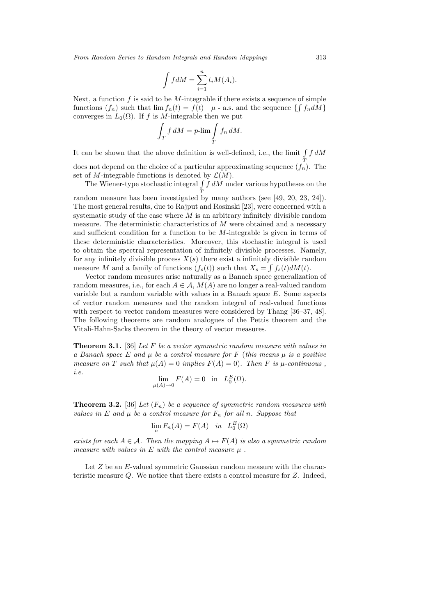$$
\int f dM = \sum_{i=1}^{n} t_i M(A_i).
$$

Next, a function  $f$  is said to be  $M$ -integrable if there exists a sequence of simple functions  $(f_n)$  such that  $\lim f_n(t) = f(t)$   $\mu$  - a.s. and the sequence  $\{\int f_n dM\}$ converges in  $L_0(\Omega)$ . If f is M-integrable then we put

$$
\int_T f \, dM = p\text{-lim} \int_T f_n \, dM.
$$

It can be shown that the above definition is well-defined, i.e., the limit  $\int f dM$ T

does not depend on the choice of a particular approximating sequence  $(f_n)$ . The set of M-integrable functions is denoted by  $\mathcal{L}(M)$ .

The Wiener-type stochastic integral  $\int f dM$  under various hypotheses on the T random measure has been investigated by many authors (see [49, 20, 23, 24]).

The most general results, due to Rajput and Rosinski [23], were concerned with a systematic study of the case where  $M$  is an arbitrary infinitely divisible random measure. The deterministic characteristics of  $M$  were obtained and a necessary and sufficient condition for a function to be  $M$ -integrable is given in terms of these deterministic characteristics. Moreover, this stochastic integral is used to obtain the spectral representation of infinitely divisible processes. Namely, for any infinitely divisible process  $X(s)$  there exist a infinitely divisible random measure M and a family of functions  $(f_s(t))$  such that  $X_s = \int f_s(t) dM(t)$ .

Vector random measures arise naturally as a Banach space generalization of random measures, i.e., for each  $A \in \mathcal{A}$ ,  $M(A)$  are no longer a real-valued random variable but a random variable with values in a Banach space E. Some aspects of vector random measures and the random integral of real-valued functions with respect to vector random measures were considered by Thang [36–37, 48]. The following theorems are random analogues of the Pettis theorem and the Vitali-Hahn-Sacks theorem in the theory of vector measures.

**Theorem 3.1.** [36] *Let* F *be a vector symmetric random measure with values in a Banach space* E *and* μ *be a control measure for* F (*this means* μ *is a positive measure on* T *such that*  $\mu(A) = 0$  *implies*  $F(A) = 0$ *). Then* F *is*  $\mu$ -*continuous*, *i.e.*

$$
\lim_{\mu(A)\to 0} F(A) = 0 \quad \text{in} \quad L_0^E(\Omega).
$$

**Theorem 3.2.** [36] *Let*  $(F_n)$  *be a sequence of symmetric random measures with values in* E and  $\mu$  *be a control measure for*  $F_n$  *for all n. Suppose that* 

$$
\lim_{n} F_n(A) = F(A) \quad in \quad L_0^{E}(\Omega)
$$

*exists for each*  $A \in \mathcal{A}$ *. Then the mapping*  $A \mapsto F(A)$  *is also a symmetric random measure with values in* E *with the control measure* μ *.*

Let  $Z$  be an  $E$ -valued symmetric Gaussian random measure with the characteristic measure Q. We notice that there exists a control measure for Z. Indeed,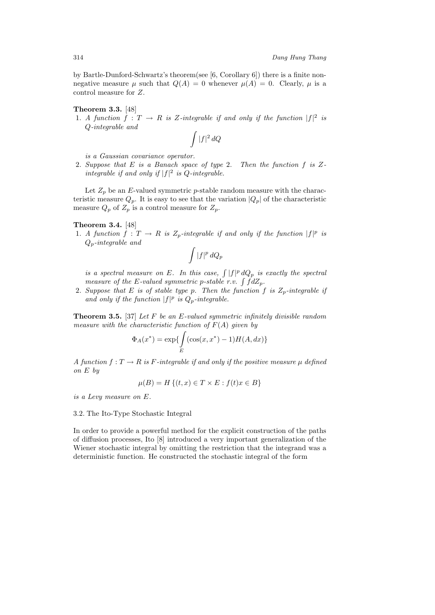by Bartle-Dunford-Schwartz's theorem(see [6, Corollary 6]) there is a finite nonnegative measure  $\mu$  such that  $Q(A) = 0$  whenever  $\mu(A) = 0$ . Clearly,  $\mu$  is a control measure for Z.

## **Theorem 3.3.** [48]

1. *A function*  $f: T \to R$  *is* Z-integrable if and only if the function  $|f|^2$  is Q*-integrable and*

$$
\int |f|^2\,dQ
$$

*is a Gaussian covariance operator.*

2. *Suppose that* E *is a Banach space of type* 2. *Then the function* f *is* Z*integrable if and only if*  $|f|^2$  *is Q-integrable.* 

Let  $Z_p$  be an E-valued symmetric p-stable random measure with the characteristic measure  $Q_p$ . It is easy to see that the variation  $|Q_p|$  of the characteristic measure  $Q_p$  of  $Z_p$  is a control measure for  $Z_p$ .

## **Theorem 3.4.** [48]

1. *A function*  $f: T \to R$  *is*  $Z_p$ -integrable if and only if the function  $|f|^p$  is Qp*-integrable and*

$$
\int |f|^p\,dQ_p
$$

*is a spectral measure on* E. In this case,  $\int |f|^p dQ_p$  *is exactly the spectral measure of the* E-valued symmetric p-stable r.v.  $\int f dZ_p$ .

2. Suppose that E is of stable type p. Then the function f is  $Z_p$ -integrable if and only if the function  $|f|^p$  is  $Q_p$ -integrable.

**Theorem 3.5.** [37] *Let* F *be an* E*-valued symmetric infinitely divisible random measure with the characteristic function of* F(A) *given by*

$$
\Phi_A(x^*) = \exp\{\int\limits_E (\cos(x, x^*) - 1) H(A, dx)\}\
$$

*A function*  $f: T \to R$  *is* F-integrable if and only if the positive measure  $\mu$  *defined on* E *by*

$$
\mu(B) = H\{(t, x) \in T \times E : f(t)x \in B\}
$$

*is a Levy measure on* E*.*

## 3.2. The Ito-Type Stochastic Integral

In order to provide a powerful method for the explicit construction of the paths of diffusion processes, Ito [8] introduced a very important generalization of the Wiener stochastic integral by omitting the restriction that the integrand was a deterministic function. He constructed the stochastic integral of the form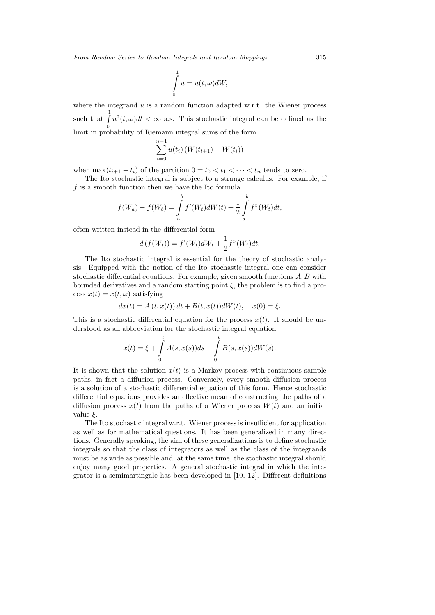$$
\int_{0}^{1} u = u(t, \omega)dW,
$$

where the integrand  $u$  is a random function adapted w.r.t. the Wiener process such that  $\int_0^1$ 0  $u^2(t,\omega)dt < \infty$  a.s. This stochastic integral can be defined as the limit in probability of Riemann integral sums of the form

$$
\sum_{i=0}^{n-1} u(t_i) (W(t_{i+1}) - W(t_i))
$$

when  $\max(t_{i+1} - t_i)$  of the partition  $0 = t_0 < t_1 < \cdots < t_n$  tends to zero.

The Ito stochastic integral is subject to a strange calculus. For example, if  $f$  is a smooth function then we have the Ito formula

$$
f(W_a) - f(W_b) = \int_a^b f'(W_t) dW(t) + \frac{1}{2} \int_a^b f''(W_t) dt,
$$

often written instead in the differential form

$$
d(f(W_t)) = f'(W_t)dW_t + \frac{1}{2}f''(W_t)dt.
$$

The Ito stochastic integral is essential for the theory of stochastic analysis. Equipped with the notion of the Ito stochastic integral one can consider stochastic differential equations. For example, given smooth functions  $A, B$  with bounded derivatives and a random starting point  $\xi$ , the problem is to find a process  $x(t) = x(t, \omega)$  satisfying

$$
dx(t) = A(t, x(t)) dt + B(t, x(t)) dW(t), \quad x(0) = \xi.
$$

This is a stochastic differential equation for the process  $x(t)$ . It should be understood as an abbreviation for the stochastic integral equation

$$
x(t) = \xi + \int_{0}^{t} A(s, x(s))ds + \int_{0}^{t} B(s, x(s))dW(s).
$$

It is shown that the solution  $x(t)$  is a Markov process with continuous sample paths, in fact a diffusion process. Conversely, every smooth diffusion process is a solution of a stochastic differential equation of this form. Hence stochastic differential equations provides an effective mean of constructing the paths of a diffusion process  $x(t)$  from the paths of a Wiener process  $W(t)$  and an initial value  $\xi$ .

The Ito stochastic integral w.r.t. Wiener process is insufficient for application as well as for mathematical questions. It has been generalized in many directions. Generally speaking, the aim of these generalizations is to define stochastic integrals so that the class of integrators as well as the class of the integrands must be as wide as possible and, at the same time, the stochastic integral should enjoy many good properties. A general stochastic integral in which the integrator is a semimartingale has been developed in [10, 12]. Different definitions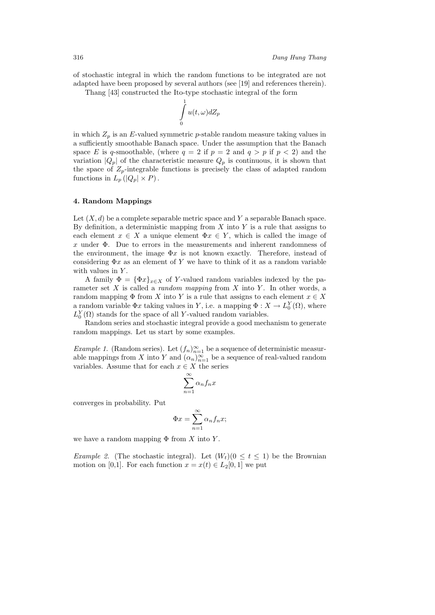of stochastic integral in which the random functions to be integrated are not adapted have been proposed by several authors (see [19] and references therein).

Thang [43] constructed the Ito-type stochastic integral of the form

$$
\int\limits_0^1 u(t,\omega)dZ_p
$$

in which  $Z_p$  is an E-valued symmetric p-stable random measure taking values in a sufficiently smoothable Banach space. Under the assumption that the Banach space E is q-smoothable, (where  $q = 2$  if  $p = 2$  and  $q > p$  if  $p < 2$ ) and the variation  $|Q_p|$  of the characteristic measure  $Q_p$  is continuous, it is shown that the space of  $Z_p$ -integrable functions is precisely the class of adapted random functions in  $L_p(|Q_p| \times P)$ .

## **4. Random Mappings**

Let  $(X, d)$  be a complete separable metric space and Y a separable Banach space. By definition, a deterministic mapping from  $X$  into  $Y$  is a rule that assigns to each element  $x \in X$  a unique element  $\Phi x \in Y$ , which is called the image of x under  $\Phi$ . Due to errors in the measurements and inherent randomness of the environment, the image  $\Phi x$  is not known exactly. Therefore, instead of considering  $\Phi x$  as an element of Y we have to think of it as a random variable with values in Y.

A family  $\Phi = {\Phi x}_{x \in X}$  of Y-valued random variables indexed by the parameter set X is called a *random mapping* from X into Y. In other words, a random mapping  $\Phi$  from X into Y is a rule that assigns to each element  $x \in X$ a random variable  $\Phi x$  taking values in Y, i.e. a mapping  $\Phi: X \to L_0^Y(\Omega)$ , where  $L_0^Y(\Omega)$  stands for the space of all Y-valued random variables.

Random series and stochastic integral provide a good mechanism to generate random mappings. Let us start by some examples.

*Example 1.* (Random series). Let  $(f_n)_{n=1}^{\infty}$  be a sequence of deterministic measurable mappings from X into Y and  $(\alpha_n)_{n=1}^{\infty}$  be a sequence of real-valued random variables. Assume that for each  $x \in X$  the series

$$
\sum_{n=1}^{\infty} \alpha_n f_n x
$$

converges in probability. Put

$$
\Phi x = \sum_{n=1}^{\infty} \alpha_n f_n x;
$$

we have a random mapping  $\Phi$  from X into Y.

*Example 2.* (The stochastic integral). Let  $(W_t)(0 \leq t \leq 1)$  be the Brownian motion on [0,1]. For each function  $x = x(t) \in L_2[0,1]$  we put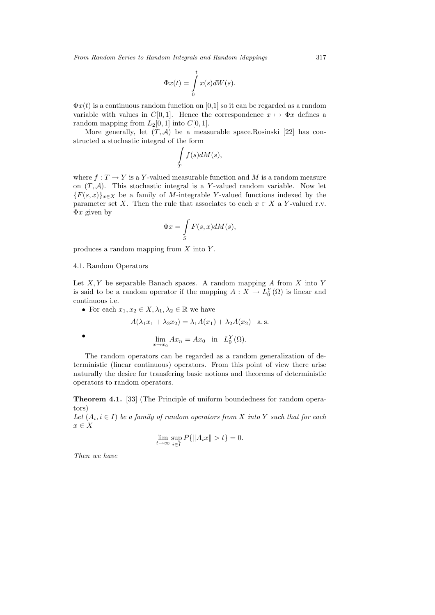$$
\Phi x(t) = \int\limits_0^t x(s)dW(s).
$$

 $\Phi x(t)$  is a continuous random function on [0,1] so it can be regarded as a random variable with values in  $C[0, 1]$ . Hence the correspondence  $x \mapsto \Phi x$  defines a random mapping from  $L_2[0, 1]$  into  $C[0, 1]$ .

More generally, let  $(T, \mathcal{A})$  be a measurable space.Rosinski [22] has constructed a stochastic integral of the form

$$
\int\limits_T f(s)dM(s),
$$

where  $f: T \to Y$  is a Y-valued measurable function and M is a random measure on  $(T, \mathcal{A})$ . This stochastic integral is a Y-valued random variable. Now let  ${F(s,x)}_{x\in X}$  be a family of M-integrable Y-valued functions indexed by the parameter set X. Then the rule that associates to each  $x \in X$  a Y-valued r.v.  $\Phi x$  given by

$$
\Phi x = \int\limits_{S} F(s, x) dM(s),
$$

produces a random mapping from  $X$  into  $Y$ .

#### 4.1. Random Operators

Let  $X, Y$  be separable Banach spaces. A random mapping  $A$  from  $X$  into  $Y$ is said to be a random operator if the mapping  $A: X \to L_0^Y(\Omega)$  is linear and continuous i.e.

• For each  $x_1, x_2 \in X, \lambda_1, \lambda_2 \in \mathbb{R}$  we have

•  $\lim_{x \to x_0} Ax_n = Ax_0$  in  $L_0^Y(\Omega)$ .

$$
A(\lambda_1 x_1 + \lambda_2 x_2) = \lambda_1 A(x_1) + \lambda_2 A(x_2)
$$
 a.s.

$$
f_{\rm{max}}
$$

The random operators can be regarded as a random generalization of deterministic (linear continuous) operators. From this point of view there arise naturally the desire for transfering basic notions and theorems of deterministic operators to random operators.

**Theorem 4.1.** [33] (The Principle of uniform boundedness for random operators)

*Let*  $(A_i, i \in I)$  *be a family of random operators from* X *into* Y *such that for each*  $x \in X$ 

$$
\lim_{t \to \infty} \sup_{i \in I} P\{ \|A_i x\| > t \} = 0.
$$

*Then we have*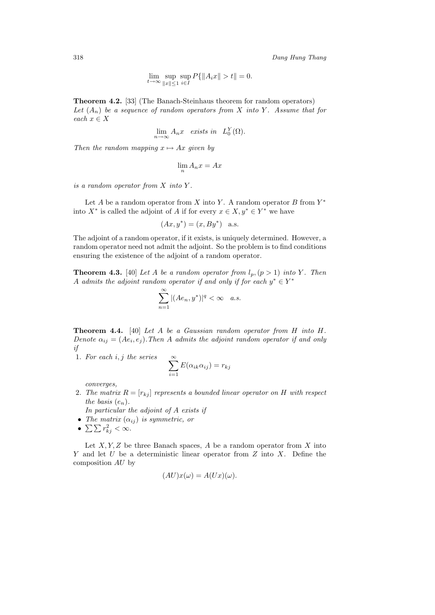$$
\lim_{t \to \infty} \sup_{\|x\| \le 1} \sup_{i \in I} P\{\|A_i x\| > t\| = 0.
$$

**Theorem 4.2.** [33] (The Banach-Steinhaus theorem for random operators) Let  $(A_n)$  be a sequence of random operators from X into Y. Assume that for *each*  $x \in X$ 

$$
\lim_{n \to \infty} A_n x \quad exists \ in \quad L_0^Y(\Omega).
$$

*Then the random mapping*  $x \mapsto Ax$  *given by* 

$$
\lim_{n} A_n x = Ax
$$

*is a random operator from* X *into* Y *.*

Let A be a random operator from X into Y. A random operator B from  $Y^*$ into  $X^*$  is called the adjoint of A if for every  $x \in X, y^* \in Y^*$  we have

$$
(Ax, y^*) = (x, By^*)
$$
 a.s.

The adjoint of a random operator, if it exists, is uniquely determined. However, a random operator need not admit the adjoint. So the problem is to find conditions ensuring the existence of the adjoint of a random operator.

**Theorem 4.3.** [40] Let A be a random operator from  $l_p$ ,  $(p > 1)$  into Y. Then A *admits the adjoint random operator if and only if for each*  $y^* \in Y^*$ 

$$
\sum_{n=1}^{\infty} |(Ae_n, y^*)|^q < \infty \quad a.s.
$$

**Theorem 4.4.** [40] *Let* A *be a Gaussian random operator from* H *into* H*. Denote*  $\alpha_{ij} = (Ae_i, e_j)$ *. Then* A *admits the adjoint random operator if and only if*

1. *For each* i, j *the series*

$$
\sum_{i=1}^{\infty} E(\alpha_{ik}\alpha_{ij}) = r_{kj}
$$

*converges,*

- 2. The matrix  $R = [r_{kj}]$  represents a bounded linear operator on H with respect *the basis*  $(e_n)$ *.*
- *In particular the adjoint of* A *exists if*
- *The matrix*  $(\alpha_{ij})$  *is symmetric, or*
- $\sum \sum r_{kj}^2 < \infty$ .

Let  $X, Y, Z$  be three Banach spaces, A be a random operator from X into Y and let U be a deterministic linear operator from  $Z$  into  $X$ . Define the composition AU by

$$
(AU)x(\omega) = A(Ux)(\omega).
$$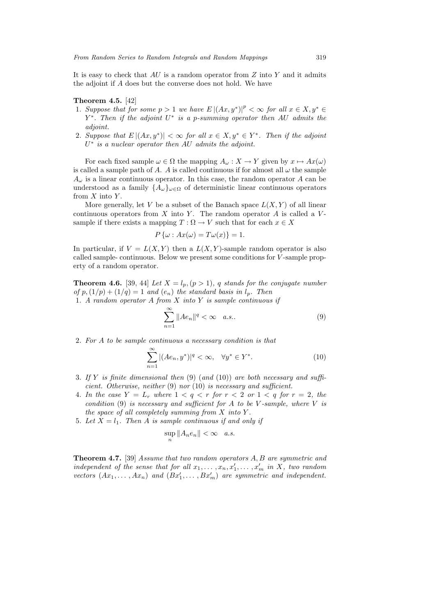It is easy to check that  $AU$  is a random operator from  $Z$  into  $Y$  and it admits the adjoint if A does but the converse does not hold. We have

### **Theorem 4.5.** [42]

- 1. Suppose that for some  $p > 1$  we have  $E|(Ax, y^*)|^p < \infty$  for all  $x \in X, y^* \in$ Y <sup>∗</sup>. *Then if the adjoint* U<sup>∗</sup> *is a* p*-summing operator then* AU *admits the adjoint.*
- 2. Suppose that  $E | (Ax, y^*)| < \infty$  for all  $x \in X, y^* \in Y^*$ . Then if the adjoint U<sup>∗</sup> *is a nuclear operator then* AU *admits the adjoint.*

For each fixed sample  $\omega \in \Omega$  the mapping  $A_{\omega}: X \to Y$  given by  $x \mapsto Ax(\omega)$ is called a sample path of A. A is called continuous if for almost all  $\omega$  the sample  $A_{\omega}$  is a linear continuous operator. In this case, the random operator A can be understood as a family  $\{A_{\omega}\}_{{\omega}\in{\Omega}}$  of deterministic linear continuous operators from  $X$  into  $Y$ .

More generally, let V be a subset of the Banach space  $L(X, Y)$  of all linear continuous operators from  $X$  into  $Y$ . The random operator  $A$  is called a  $V$ sample if there exists a mapping  $T : \Omega \to V$  such that for each  $x \in X$ 

$$
P\{\omega : Ax(\omega) = T\omega(x)\} = 1.
$$

In particular, if  $V = L(X, Y)$  then a  $L(X, Y)$ -sample random operator is also called sample- continuous. Below we present some conditions for V -sample property of a random operator.

**Theorem 4.6.** [39, 44] *Let*  $X = l_p, (p > 1)$ *, q stands for the conjugate number of*  $p$ ,  $(1/p) + (1/q) = 1$  *and*  $(e_n)$  *the standard basis in*  $l_p$ *. Then* 1. *A random operator* A *from* X *into* Y *is sample continuous if*

$$
\sum_{n=1}^{\infty} \|Ae_n\|^q < \infty \quad a.s.. \tag{9}
$$

2. *For* A *to be sample continuous a necessary condition is that*

$$
\sum_{n=1}^{\infty} |(Ae_n, y^*)|^q < \infty, \quad \forall y^* \in Y^*.
$$
\n(10)

- 3. *If* Y *is finite dimensional then* (9) (*and* (10)) *are both necessary and sufficient. Otherwise, neither* (9) *nor* (10) *is necessary and sufficient.*
- 4. In the case  $Y = L_r$  where  $1 < q < r$  for  $r < 2$  or  $1 < q$  for  $r = 2$ , the *condition* (9) *is necessary and sufficient for* A *to be* V *-sample, where* V *is the space of all completely summing from* X *into* Y *.*
- 5. Let  $X = l_1$ . Then A is sample continuous if and only if

$$
\sup_n \|A_n e_n\| < \infty \quad a.s.
$$

**Theorem 4.7.** [39] *Assume that two random operators* A, B *are symmetric and independent of the sense that for all*  $x_1, \ldots, x_n, x'_1, \ldots, x'_m$  *in* X, two random *vectors*  $(Ax_1, \ldots, Ax_n)$  *and*  $(Bx'_1, \ldots, Bx'_m)$  *are symmetric and independent.*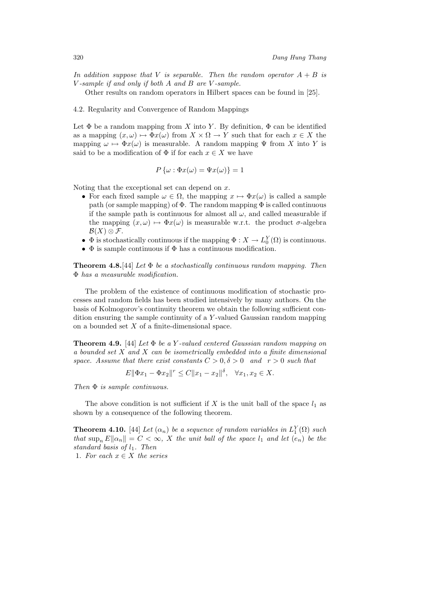*In addition suppose that V is separable. Then the random operator*  $A + B$  *is* V *-sample if and only if both* A *and* B *are* V *-sample.*

Other results on random operators in Hilbert spaces can be found in [25].

#### 4.2. Regularity and Convergence of Random Mappings

Let  $\Phi$  be a random mapping from X into Y. By definition,  $\Phi$  can be identified as a mapping  $(x, \omega) \mapsto \Phi(x)$  from  $X \times \Omega \to Y$  such that for each  $x \in X$  the mapping  $\omega \mapsto \Phi x(\omega)$  is measurable. A random mapping  $\Psi$  from X into Y is said to be a modification of  $\Phi$  if for each  $x \in X$  we have

$$
P\{\omega : \Phi x(\omega) = \Psi x(\omega)\} = 1
$$

Noting that the exceptional set can depend on  $x$ .

- For each fixed sample  $\omega \in \Omega$ , the mapping  $x \mapsto \Phi x(\omega)$  is called a sample path (or sample mapping) of  $\Phi$ . The random mapping  $\Phi$  is called continuous if the sample path is continuous for almost all  $\omega$ , and called measurable if the mapping  $(x, \omega) \mapsto \Phi(x)$  is measurable w.r.t. the product  $\sigma$ -algebra  $\mathcal{B}(X)\otimes\mathcal{F}.$
- $\Phi$  is stochastically continuous if the mapping  $\Phi: X \to L_0^Y(\Omega)$  is continuous.
- $\bullet$   $\Phi$  is sample continuous if  $\Phi$  has a continuous modification.

**Theorem 4.8.**[44] *Let* Φ *be a stochastically continuous random mapping. Then* Φ *has a measurable modification.*

The problem of the existence of continuous modification of stochastic processes and random fields has been studied intensively by many authors. On the basis of Kolmogorov's continuity theorem we obtain the following sufficient condition ensuring the sample continuity of a Y -valued Gaussian random mapping on a bounded set X of a finite-dimensional space.

**Theorem 4.9.** [44] *Let* Φ *be a* Y *-valued centered Gaussian random mapping on a bounded set* X *and* X *can be isometrically embedded into a finite dimensional space. Assume that there exist constants*  $C > 0, \delta > 0$  *and*  $r > 0$  *such that* 

$$
E\|\Phi x_1 - \Phi x_2\|^r \le C\|x_1 - x_2\|^{\delta}, \quad \forall x_1, x_2 \in X.
$$

*Then* Φ *is sample continuous.*

The above condition is not sufficient if X is the unit ball of the space  $l_1$  as shown by a consequence of the following theorem.

**Theorem 4.10.** [44] *Let*  $(\alpha_n)$  *be a sequence of random variables in*  $L_1^Y(\Omega)$  *such that*  $\sup_n E\|\alpha_n\| = C < \infty$ , X the unit ball of the space  $l_1$  and let  $(e_n)$  be the *standard basis of* l1*. Then*

1. For each  $x \in X$  the series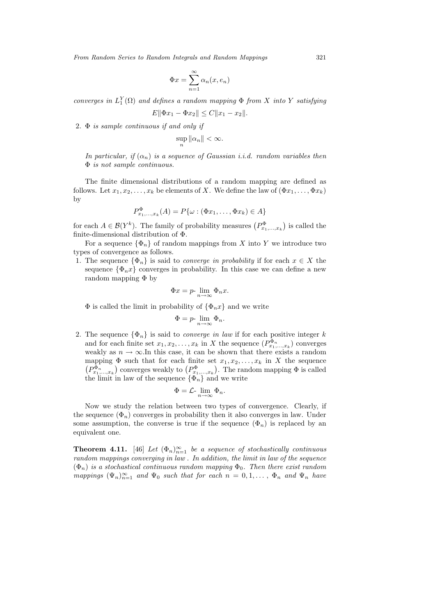$$
\Phi x = \sum_{n=1}^{\infty} \alpha_n(x, e_n)
$$

*converges in*  $L_1^Y(\Omega)$  *and defines a random mapping*  $\Phi$  *from* X *into* Y *satisfying* 

 $E\|\Phi x_1 - \Phi x_2\| \leq C\|x_1 - x_2\|.$ 

2. Φ *is sample continuous if and only if*

$$
\sup_n \|\alpha_n\| < \infty.
$$

*In particular, if*  $(\alpha_n)$  *is a sequence of Gaussian i.i.d. random variables then* Φ *is not sample continuous.*

The finite dimensional distributions of a random mapping are defined as follows. Let  $x_1, x_2, \ldots, x_k$  be elements of X. We define the law of  $(\Phi x_1, \ldots, \Phi x_k)$ by

$$
P_{x_1,\ldots,x_k}^{\Phi}(A) = P\{\omega : (\Phi x_1,\ldots,\Phi x_k) \in A\}
$$

for each  $A \in \mathcal{B}(Y^k)$ . The family of probability measures  $(P_{x_1,...,x_k}^{\Phi})$  is called the finite-dimensional distribution of Φ.

For a sequence  $\{\Phi_n\}$  of random mappings from X into Y we introduce two types of convergence as follows.

1. The sequence  $\{\Phi_n\}$  is said to *converge in probability* if for each  $x \in X$  the sequence  $\{\Phi_n x\}$  converges in probability. In this case we can define a new random mapping  $\Phi$  by

$$
\Phi x = p \cdot \lim_{n \to \infty} \Phi_n x.
$$

 $\Phi$  is called the limit in probability of  $\{\Phi_n x\}$  and we write

$$
\Phi = p \text{-} \lim_{n \to \infty} \Phi_n.
$$

2. The sequence  $\{\Phi_n\}$  is said to *converge in law* if for each positive integer k and for each finite set  $x_1, x_2, \ldots, x_k$  in X the sequence  $(P_{x_1,\ldots,x_k}^{\Phi_n})$  converges weakly as  $n \to \infty$ . In this case, it can be shown that there exists a random mapping  $\Phi$  such that for each finite set  $x_1, x_2, \ldots, x_k$  in X the sequence  $(P_{x_1,...,x_k}^{\Phi_n})$  converges weakly to  $(P_{x_1,...,x_k}^{\Phi})$ . The random mapping  $\Phi$  is called the limit in law of the sequence  $\{\Phi_n\}$  and we write

$$
\Phi = \mathcal{L} \text{-} \lim_{n \to \infty} \Phi_n.
$$

Now we study the relation between two types of convergence. Clearly, if the sequence  $(\Phi_n)$  converges in probability then it also converges in law. Under some assumption, the converse is true if the sequence  $(\Phi_n)$  is replaced by an equivalent one.

**Theorem 4.11.** [46] *Let*  $(\Phi_n)_{n=1}^{\infty}$  *be a sequence of stochastically continuous random mappings converging in law . In addition, the limit in law of the sequence*  $(\Phi_n)$  *is a stochastical continuous random mapping*  $\Phi_0$ *. Then there exist random mappings*  $(\Psi_n)_{n=1}^{\infty}$  *and*  $\Psi_0$  *such that for each*  $n = 0, 1, \ldots, \Phi_n$  *and*  $\Psi_n$  *have*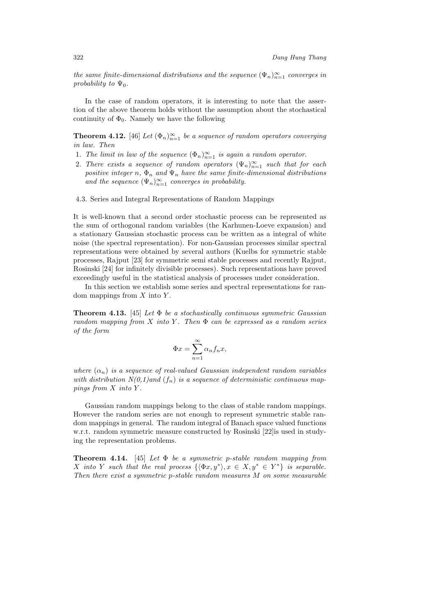*the same finite-dimensional distributions and the sequence*  $(\Psi_n)_{n=1}^{\infty}$  *converges in probability to*  $\Psi_0$ *.* 

In the case of random operators, it is interesting to note that the assertion of the above theorem holds without the assumption about the stochastical continuity of  $\Phi_0$ . Namely we have the following

**Theorem 4.12.** [46] *Let*  $(\Phi_n)_{n=1}^{\infty}$  *be a sequence of random operators converging in law. Then*

- 1. The limit in law of the sequence  $(\Phi_n)_{n=1}^{\infty}$  is again a random operator.
- 2. There exists a sequence of random operators  $(\Psi_n)_{n=1}^{\infty}$  such that for each *positive integer* n,  $\Phi_n$  *and*  $\Psi_n$  *have the same finite-dimensional distributions* and the sequence  $(\Psi_n)_{n=1}^{\infty}$  *converges in probability.*
- 4.3. Series and Integral Representations of Random Mappings

It is well-known that a second order stochastic process can be represented as the sum of orthogonal random variables (the Karhunen-Loeve expansion) and a stationary Gaussian stochastic process can be written as a integral of white noise (the spectral representation). For non-Gaussian processes similar spectral representations were obtained by several authors (Kuelbs for symmetric stable processes, Rajput [23] for symmetric semi stable processes and recently Rajput, Rosinski [24] for infinitely divisible processes). Such representations have proved exceedingly useful in the statistical analysis of processes under consideration.

In this section we establish some series and spectral representations for random mappings from  $X$  into  $Y$ .

**Theorem 4.13.** [45] *Let* Φ *be a stochastically continuous symmetric Gaussian random mapping from* X *into* Y *. Then* Φ *can be expressed as a random series of the form*

$$
\Phi x = \sum_{n=1}^{\infty} \alpha_n f_n x,
$$

*where*  $(\alpha_n)$  *is a sequence of real-valued Gaussian independent random variables* with distribution  $N(0,1)$  and  $(f_n)$  is a sequence of deterministic continuous map*pings from* X *into* Y *.*

Gaussian random mappings belong to the class of stable random mappings. However the random series are not enough to represent symmetric stable random mappings in general. The random integral of Banach space valued functions w.r.t. random symmetric measure constructed by Rosinski [22]is used in studying the representation problems.

**Theorem 4.14.** [45] *Let* Φ *be a symmetric* p*-stable random mapping from* X *into* Y *such that the real process*  $\{\langle \Phi x, y^* \rangle, x \in X, y^* \in Y^*\}$  *is separable. Then there exist a symmetric* p*-stable random measures* M *on some measurable*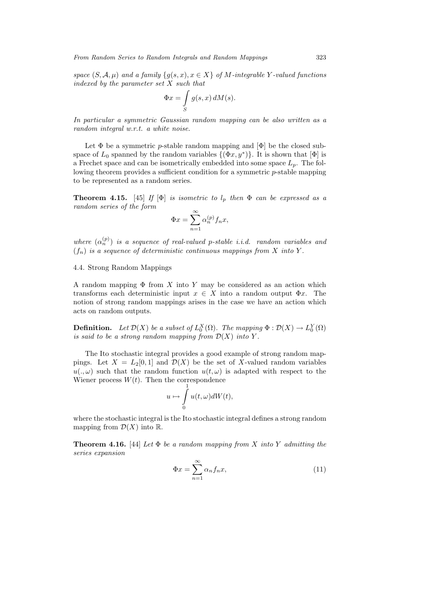*space*  $(S, \mathcal{A}, \mu)$  *and a family*  $\{g(s, x), x \in X\}$  *of M*-integrable Y-valued functions *indexed by the parameter set* X *such that*

$$
\Phi x = \int\limits_{S} g(s, x) \, dM(s).
$$

*In particular a symmetric Gaussian random mapping can be also written as a random integral w.r.t. a white noise.*

Let  $\Phi$  be a symmetric *p*-stable random mapping and  $[\Phi]$  be the closed subspace of  $L_0$  spanned by the random variables  $\{(\Phi x, y^*)\}$ . It is shown that  $[\Phi]$  is a Frechet space and can be isometrically embedded into some space  $L_p$ . The following theorem provides a sufficient condition for a symmetric p-stable mapping to be represented as a random series.

**Theorem 4.15.** [45] *If* [ $\Phi$ ] *is isometric to*  $l_p$  *then*  $\Phi$  *can be expressed as a random series of the form*

$$
\Phi x = \sum_{n=1}^{\infty} \alpha_n^{(p)} f_n x,
$$

*where*  $(\alpha_n^{(p)})$  *is a sequence of real-valued p-stable i.i.d. random variables and*  $(f_n)$  *is a sequence of deterministic continuous mappings from* X *into* Y.

4.4. Strong Random Mappings

A random mapping  $\Phi$  from X into Y may be considered as an action which transforms each deterministic input  $x \in X$  into a random output  $\Phi x$ . The notion of strong random mappings arises in the case we have an action which acts on random outputs.

**Definition.** Let  $\mathcal{D}(X)$  be a subset of  $L_0^X(\Omega)$ . The mapping  $\Phi : \mathcal{D}(X) \to L_0^Y(\Omega)$ *is said to be a strong random mapping from*  $\mathcal{D}(X)$  *into*  $Y$ *.* 

The Ito stochastic integral provides a good example of strong random mappings. Let  $X = L_2[0,1]$  and  $\mathcal{D}(X)$  be the set of X-valued random variables  $u(.,\omega)$  such that the random function  $u(t,\omega)$  is adapted with respect to the Wiener process  $W(t)$ . Then the correspondence

$$
u \mapsto \int\limits_0^1 u(t, \omega)dW(t),
$$

where the stochastic integral is the Ito stochastic integral defines a strong random mapping from  $\mathcal{D}(X)$  into  $\mathbb{R}$ .

**Theorem 4.16.** [44] *Let* Φ *be a random mapping from* X *into* Y *admitting the series expansion*

$$
\Phi x = \sum_{n=1}^{\infty} \alpha_n f_n x,\tag{11}
$$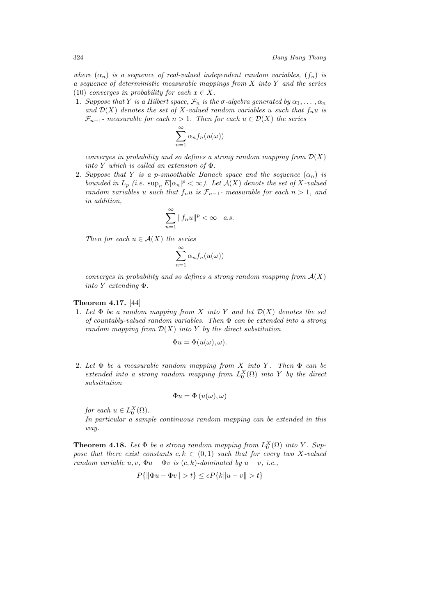*where*  $(\alpha_n)$  *is a sequence of real-valued independent random variables,*  $(f_n)$  *is a sequence of deterministic measurable mappings from* X *into* Y *and the series* (10) *converges in probability for each*  $x \in X$ .

1. *Suppose that* Y *is a Hilbert space,*  $\mathcal{F}_n$  *is the*  $\sigma$ -algebra generated by  $\alpha_1, \ldots, \alpha_n$ and  $\mathcal{D}(X)$  *denotes the set of* X-valued random variables u such that  $f_n u$  is  $\mathcal{F}_{n-1}$ - measurable for each  $n > 1$ . Then for each  $u \in \mathcal{D}(X)$  the series

$$
\sum_{n=1}^{\infty} \alpha_n f_n(u(\omega))
$$

*converges in probability and so defines a strong random mapping from*  $\mathcal{D}(X)$ *into* Y *which is called an extension of* Φ*.*

2. *Suppose that* Y *is a p-smoothable Banach space and the sequence*  $(\alpha_n)$  *is bounded in*  $L_p$  (*i.e.*  $\sup_n E|\alpha_n|^p < \infty$ ). Let  $\mathcal{A}(X)$  denote the set of X-valued *random variables* u *such that*  $f_n u$  *is*  $\mathcal{F}_{n-1}$ *- measurable for each*  $n > 1$ *, and in addition,*

$$
\sum_{n=1}^{\infty} \|f_n u\|^p < \infty \quad a.s.
$$

*Then for each*  $u \in \mathcal{A}(X)$  *the series* 

$$
\sum_{n=1}^{\infty} \alpha_n f_n(u(\omega))
$$

*converges in probability and so defines a strong random mapping from*  $A(X)$ *into* Y *extending* Φ*.*

## **Theorem 4.17.** [44]

1. Let  $\Phi$  be a random mapping from X into Y and let  $\mathcal{D}(X)$  denotes the set *of countably-valued random variables. Then* Φ *can be extended into a strong random mapping from* D(X) *into* Y *by the direct substitution*

$$
\Phi u = \Phi(u(\omega), \omega).
$$

2. *Let* Φ *be a measurable random mapping from* X *into* Y *. Then* Φ *can be*  $extended$  *into* a strong random mapping from  $L_0^X(\Omega)$  *into* Y *by the direct substitution*

$$
\Phi u = \Phi(u(\omega), \omega)
$$

*for each*  $u \in L_0^X(\Omega)$ .

*In particular a sample continuous random mapping can be extended in this way.*

**Theorem 4.18.** Let  $\Phi$  be a strong random mapping from  $L_0^X(\Omega)$  into Y. Sup*pose that there exist constants*  $c, k \in (0, 1)$  *such that for every two* X-valued *random variable*  $u, v, \Phi u - \Phi v$  *is*  $(c, k)$ *-dominated by*  $u - v$ *, i.e.*,

$$
P\{\|\Phi u - \Phi v\| > t\} \le cP\{k\|u - v\| > t\}
$$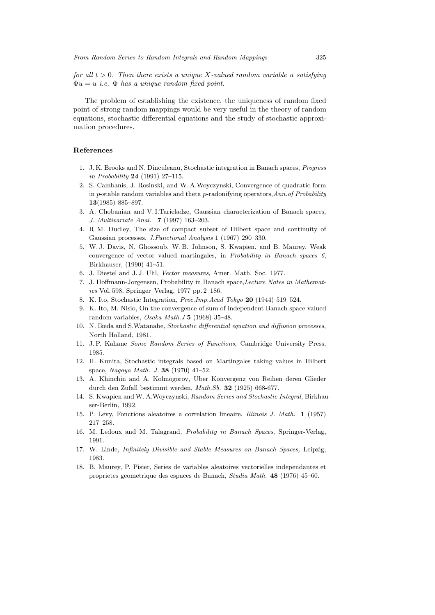*for all*  $t > 0$ *. Then there exists a unique* X-valued random variable u satisfying Φu = u *i.e.* Φ *has a unique random fixed point.*

The problem of establishing the existence, the uniqueness of random fixed point of strong random mappings would be very useful in the theory of random equations, stochastic differential equations and the study of stochastic approximation procedures.

## **References**

- 1. J. K. Brooks and N. Dinculeanu, Stochastic integration in Banach spaces, Progress in Probability **24** (1991) 27–115.
- 2. S. Cambanis, J. Rosinski, and W. A.Woyczynski, Convergence of quadratic form in p-stable random variables and theta p-radonifying operators, Ann. of Probability **13**(1985) 885–897.
- 3. A. Chobanian and V. I.Tarieladze, Gaussian characterization of Banach spaces, J. Multivariate Anal. **7** (1997) 163–203.
- 4. R. M. Dudley, The size of compact subset of Hilbert space and continuity of Gaussian processes, J.Functional Analysis 1 (1967) 290–330.
- 5. W. J. Davis, N. Ghossoub, W. B. Johnson, S. Kwapien, and B. Maurey, Weak convergence of vector valued martingales, in Probability in Banach spaces 6, Birkhauser, (1990) 41–51.
- 6. J. Diestel and J. J. Uhl, Vector measures, Amer. Math. Soc. 1977.
- 7. J. Hoffmann-Jorgensen, Probability in Banach space,Lecture Notes in Mathematics Vol. 598, Springer–Verlag, 1977 pp. 2–186.
- 8. K. Ito, Stochastic Integration, Proc.Imp.Acad Tokyo **20** (1944) 519–524.
- 9. K. Ito, M. Nisio, On the convergence of sum of independent Banach space valued random variables, Osaka Math.J **5** (1968) 35–48.
- 10. N. Ikeda and S.Watanabe, Stochastic differential equation and diffusion processes, North Holland, 1981.
- 11. J. P. Kahane Some Random Series of Functions, Cambridge University Press, 1985.
- 12. H. Kunita, Stochastic integrals based on Martingales taking values in Hilbert space, Nagoya Math. J. **38** (1970) 41–52.
- 13. A. Khinchin and A. Kolmogorov, Uber Konvergenz von Reihen deren Glieder durch den Zufall bestimmt werden, Math.Sb. **32** (1925) 668-677.
- 14. S. Kwapien and W. A.Woyczynski, Random Series and Stochastic Integral, Birkhauser-Berlin, 1992.
- 15. P. Levy, Fonctions aleatoires a correlation lineaire, Illinois J. Math. **1** (1957) 217–258.
- 16. M. Ledoux and M. Talagrand, Probability in Banach Spaces, Springer-Verlag, 1991.
- 17. W. Linde, Infinitely Divisible and Stable Measures on Banach Spaces, Leipzig, 1983.
- 18. B. Maurey, P. Pisier, Series de variables aleatoires vectorielles independantes et proprietes geometrique des espaces de Banach, Studia Math. **48** (1976) 45–60.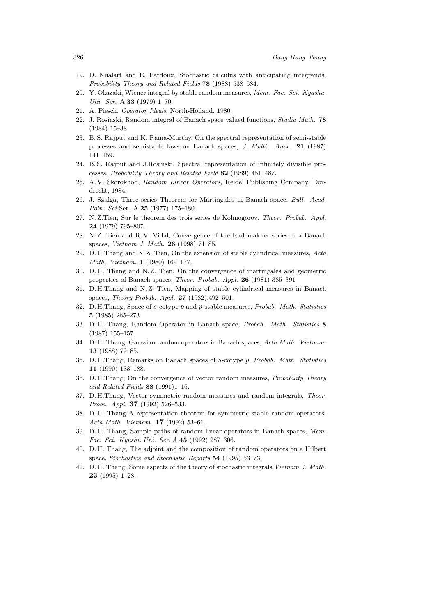- 19. D. Nualart and E. Pardoux, Stochastic calculus with anticipating integrands, Probability Theory and Related Fields **78** (1988) 538–584.
- 20. Y. Okazaki, Wiener integral by stable random measures, Mem. Fac. Sci. Kyushu. Uni. Ser. A **33** (1979) 1–70.
- 21. A. Piesch, Operator Ideals, North-Holland, 1980.
- 22. J. Rosinski, Random integral of Banach space valued functions, Studia Math. **78** (1984) 15–38.
- 23. B. S. Rajput and K. Rama-Murthy, On the spectral representation of semi-stable processes and semistable laws on Banach spaces, J. Multi. Anal. **21** (1987) 141–159.
- 24. B. S. Rajput and J.Rosinski, Spectral representation of infinitely divisible processes, Probability Theory and Related Field **82** (1989) 451–487.
- 25. A. V. Skorokhod, Random Linear Operators, Reidel Publishing Company, Dordrecht, 1984.
- 26. J. Szulga, Three series Theorem for Martingales in Banach space, Bull. Acad. Poln. Sci Ser. A **25** (1977) 175–180.
- 27. N. Z.Tien, Sur le theorem des trois series de Kolmogorov, Theor. Probab. Appl, **24** (1979) 795–807.
- 28. N. Z. Tien and R. V. Vidal, Convergence of the Rademakher series in a Banach spaces, Vietnam J. Math. **26** (1998) 71–85.
- 29. D. H.Thang and N. Z. Tien, On the extension of stable cylindrical measures, Acta Math. Vietnam. **1** (1980) 169–177.
- 30. D. H. Thang and N. Z. Tien, On the convergence of martingales and geometric properties of Banach spaces, Theor. Probab. Appl. **26** (1981) 385–391
- 31. D. H.Thang and N. Z. Tien, Mapping of stable cylindrical measures in Banach spaces, Theory Probab. Appl. **27** (1982),492–501.
- 32. D. H. Thang, Space of s-cotype  $p$  and  $p$ -stable measures, *Probab. Math. Statistics* **5** (1985) 265–273.
- 33. D. H. Thang, Random Operator in Banach space, Probab. Math. Statistics **8** (1987) 155–157.
- 34. D. H. Thang, Gaussian random operators in Banach spaces, Acta Math. Vietnam. **13** (1988) 79–85.
- 35. D. H.Thang, Remarks on Banach spaces of s-cotype p, Probab. Math. Statistics **11** (1990) 133–188.
- 36. D. H.Thang, On the convergence of vector random measures, Probability Theory and Related Fields **88** (1991)1–16.
- 37. D. H.Thang, Vector symmetric random measures and random integrals, Theor. Proba. Appl. **37** (1992) 526–533.
- 38. D. H. Thang A representation theorem for symmetric stable random operators, Acta Math. Vietnam. **17** (1992) 53–61.
- 39. D. H. Thang, Sample paths of random linear operators in Banach spaces, Mem. Fac. Sci. Kyushu Uni. Ser. A **45** (1992) 287–306.
- 40. D. H. Thang, The adjoint and the composition of random operators on a Hilbert space, Stochastics and Stochastic Reports **54** (1995) 53–73.
- 41. D. H. Thang, Some aspects of the theory of stochastic integrals,Vietnam J. Math. **23** (1995) 1–28.